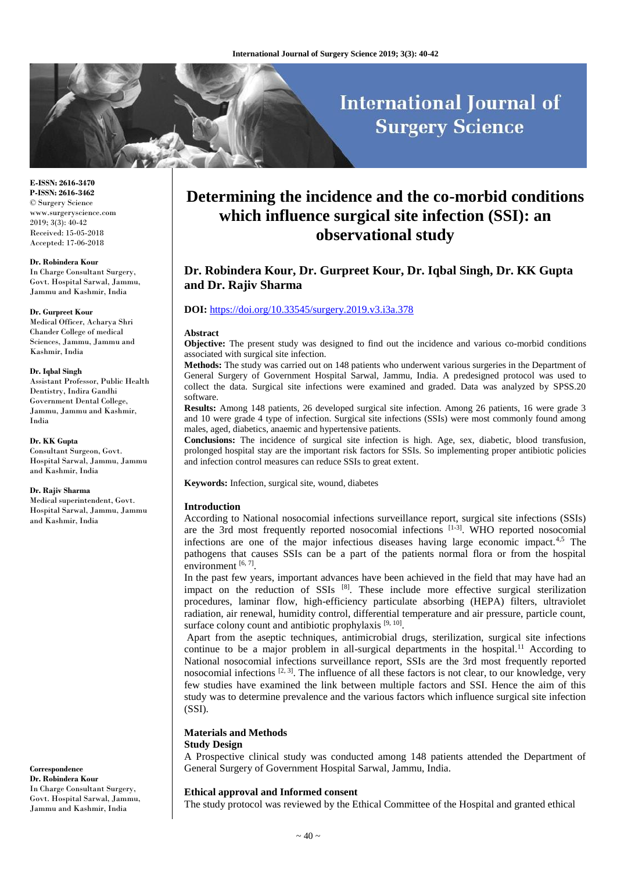# **International Journal of Surgery Science**

**E-ISSN: 2616-3470 P-ISSN: 2616-3462** © Surgery Science www.surgeryscience.com 2019; 3(3): 40-42 Received: 15-05-2018 Accepted: 17-06-2018

## **Dr. Robindera Kour**

In Charge Consultant Surgery, Govt. Hospital Sarwal, Jammu, Jammu and Kashmir, India

#### **Dr. Gurpreet Kour**

Medical Officer, Acharya Shri Chander College of medical Sciences, Jammu, Jammu and Kashmir, India

#### **Dr. Iqbal Singh**

Assistant Professor, Public Health Dentistry, Indira Gandhi Government Dental College, Jammu, Jammu and Kashmir, India

**Dr. KK Gupta** Consultant Surgeon, Govt. Hospital Sarwal, Jammu, Jammu and Kashmir, India

#### **Dr. Rajiv Sharma**

Medical superintendent, Govt. Hospital Sarwal, Jammu, Jammu and Kashmir, India

**Correspondence Dr. Robindera Kour**  In Charge Consultant Surgery, Govt. Hospital Sarwal, Jammu, Jammu and Kashmir, India

# **Determining the incidence and the co-morbid conditions which influence surgical site infection (SSI): an observational study**

# **Dr. Robindera Kour, Dr. Gurpreet Kour, Dr. Iqbal Singh, Dr. KK Gupta and Dr. Rajiv Sharma**

# **DOI:** <https://doi.org/10.33545/surgery.2019.v3.i3a.378>

#### **Abstract**

**Objective:** The present study was designed to find out the incidence and various co-morbid conditions associated with surgical site infection.

**Methods:** The study was carried out on 148 patients who underwent various surgeries in the Department of General Surgery of Government Hospital Sarwal, Jammu, India. A predesigned protocol was used to collect the data. Surgical site infections were examined and graded. Data was analyzed by SPSS.20 software.

**Results:** Among 148 patients, 26 developed surgical site infection. Among 26 patients, 16 were grade 3 and 10 were grade 4 type of infection. Surgical site infections (SSIs) were most commonly found among males, aged, diabetics, anaemic and hypertensive patients.

**Conclusions:** The incidence of surgical site infection is high. Age, sex, diabetic, blood transfusion, prolonged hospital stay are the important risk factors for SSIs. So implementing proper antibiotic policies and infection control measures can reduce SSIs to great extent.

**Keywords:** Infection, surgical site, wound, diabetes

## **Introduction**

According to National nosocomial infections surveillance report, surgical site infections (SSIs) are the 3rd most frequently reported nosocomial infections [1-3]. WHO reported nosocomial infections are one of the major infectious diseases having large economic impact.4,5 The pathogens that causes SSIs can be a part of the patients normal flora or from the hospital environment [6,7].

In the past few years, important advances have been achieved in the field that may have had an impact on the reduction of SSIs  $[8]$ . These include more effective surgical sterilization procedures, laminar flow, high-efficiency particulate absorbing (HEPA) filters, ultraviolet radiation, air renewal, humidity control, differential temperature and air pressure, particle count, surface colony count and antibiotic prophylaxis  $[9, 10]$ .

 Apart from the aseptic techniques, antimicrobial drugs, sterilization, surgical site infections continue to be a major problem in all-surgical departments in the hospital.<sup>11</sup> According to National nosocomial infections surveillance report, SSIs are the 3rd most frequently reported nosocomial infections  $[2, 3]$ . The influence of all these factors is not clear, to our knowledge, very few studies have examined the link between multiple factors and SSI. Hence the aim of this study was to determine prevalence and the various factors which influence surgical site infection (SSI).

# **Materials and Methods**

## **Study Design**

A Prospective clinical study was conducted among 148 patients attended the Department of General Surgery of Government Hospital Sarwal, Jammu, India.

# **Ethical approval and Informed consent**

The study protocol was reviewed by the Ethical Committee of the Hospital and granted ethical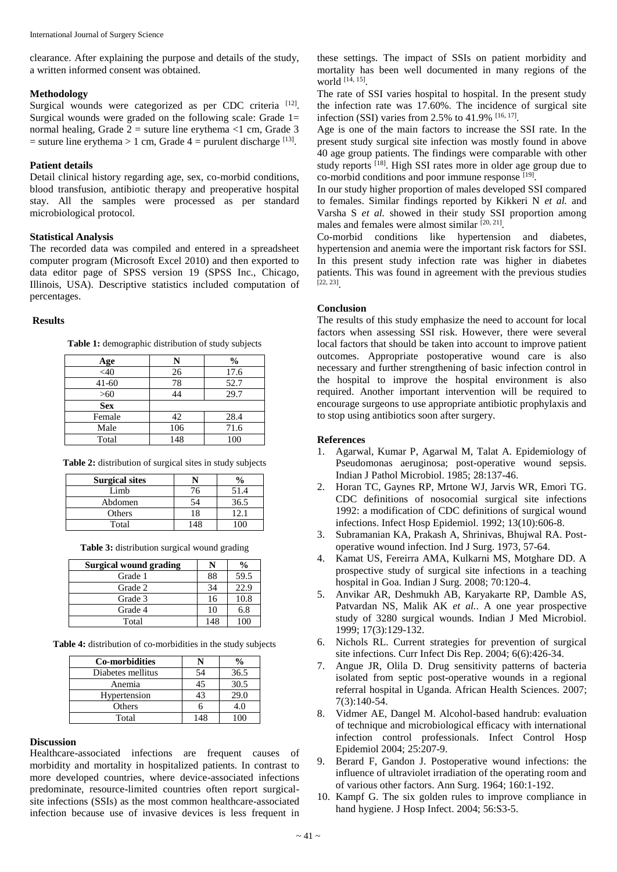clearance. After explaining the purpose and details of the study, a written informed consent was obtained.

# **Methodology**

Surgical wounds were categorized as per CDC criteria [12]. Surgical wounds were graded on the following scale: Grade  $1=$ normal healing, Grade  $2 =$  suture line erythema <1 cm, Grade 3  $=$  suture line erythema  $> 1$  cm, Grade  $4 =$  purulent discharge  $^{[13]}$ .

# **Patient details**

Detail clinical history regarding age, sex, co-morbid conditions, blood transfusion, antibiotic therapy and preoperative hospital stay. All the samples were processed as per standard microbiological protocol.

# **Statistical Analysis**

The recorded data was compiled and entered in a spreadsheet computer program (Microsoft Excel 2010) and then exported to data editor page of SPSS version 19 (SPSS Inc., Chicago, Illinois, USA). Descriptive statistics included computation of percentages.

## **Results**

|  | Table 1: demographic distribution of study subjects |  |  |  |
|--|-----------------------------------------------------|--|--|--|
|--|-----------------------------------------------------|--|--|--|

| Age        | N   | $\frac{0}{0}$ |
|------------|-----|---------------|
| <40        | 26  | 17.6          |
| $41 - 60$  | 78  | 52.7          |
| $>60$      | 44  | 29.7          |
| <b>Sex</b> |     |               |
| Female     | 42  | 28.4          |
| Male       | 106 | 71.6          |
| Total      | 148 | 100           |

**Table 2:** distribution of surgical sites in study subjects

| <b>Surgical sites</b> |     |       |
|-----------------------|-----|-------|
| Limb                  |     | 51.4  |
| Abdomen               |     | 36.5  |
| Others                |     | $+2+$ |
| Total                 | 148 |       |

**Table 3:** distribution surgical wound grading

| Surgical wound grading |     | $\frac{6}{9}$ |
|------------------------|-----|---------------|
| Grade 1                | 88  | 59.5          |
| Grade 2                | 34  | 22.9          |
| Grade 3                | 16  | 10.8          |
| Grade 4                | 10  | 6.8           |
| Total                  | 148 | 100           |

**Table 4:** distribution of co-morbidities in the study subjects

| <b>Co-morbidities</b> |     |      |
|-----------------------|-----|------|
| Diabetes mellitus     | 54  | 36.5 |
| Anemia                | 45  | 30.5 |
| Hypertension          | 43  | 29.0 |
| Others                |     | 4.0  |
| Total                 | 148 |      |

# **Discussion**

Healthcare-associated infections are frequent causes of morbidity and mortality in hospitalized patients. In contrast to more developed countries, where device-associated infections predominate, resource-limited countries often report surgicalsite infections (SSIs) as the most common healthcare-associated infection because use of invasive devices is less frequent in

these settings. The impact of SSIs on patient morbidity and mortality has been well documented in many regions of the world [14, 15] .

The rate of SSI varies hospital to hospital. In the present study the infection rate was 17.60%. The incidence of surgical site infection (SSI) varies from 2.5% to 41.9%  $[16, 17]$ .

Age is one of the main factors to increase the SSI rate. In the present study surgical site infection was mostly found in above 40 age group patients. The findings were comparable with other study reports [18]. High SSI rates more in older age group due to co-morbid conditions and poor immune response [19].

In our study higher proportion of males developed SSI compared to females. Similar findings reported by Kikkeri N *et al.* and Varsha S *et al.* showed in their study SSI proportion among males and females were almost similar [20, 21].

Co-morbid conditions like hypertension and diabetes, hypertension and anemia were the important risk factors for SSI. In this present study infection rate was higher in diabetes patients. This was found in agreement with the previous studies [22, 23] .

# **Conclusion**

The results of this study emphasize the need to account for local factors when assessing SSI risk. However, there were several local factors that should be taken into account to improve patient outcomes. Appropriate postoperative wound care is also necessary and further strengthening of basic infection control in the hospital to improve the hospital environment is also required. Another important intervention will be required to encourage surgeons to use appropriate antibiotic prophylaxis and to stop using antibiotics soon after surgery.

# **References**

- 1. Agarwal, Kumar P, Agarwal M, Talat A. Epidemiology of Pseudomonas aeruginosa; post-operative wound sepsis. Indian J Pathol Microbiol. 1985; 28:137-46.
- 2. Horan TC, Gaynes RP, Mrtone WJ, Jarvis WR, Emori TG. CDC definitions of nosocomial surgical site infections 1992: a modification of CDC definitions of surgical wound infections. Infect Hosp Epidemiol. 1992; 13(10):606-8.
- 3. Subramanian KA, Prakash A, Shrinivas, Bhujwal RA. Postoperative wound infection. Ind J Surg. 1973, 57-64.
- 4. Kamat US, Fereirra AMA, Kulkarni MS, Motghare DD. A prospective study of surgical site infections in a teaching hospital in Goa. Indian J Surg. 2008; 70:120-4.
- 5. Anvikar AR, Deshmukh AB, Karyakarte RP, Damble AS, Patvardan NS, Malik AK *et al.*. A one year prospective study of 3280 surgical wounds. Indian J Med Microbiol. 1999; 17(3):129-132.
- 6. Nichols RL. Current strategies for prevention of surgical site infections. Curr Infect Dis Rep. 2004; 6(6):426-34.
- 7. Angue JR, Olila D. Drug sensitivity patterns of bacteria isolated from septic post-operative wounds in a regional referral hospital in Uganda. African Health Sciences. 2007; 7(3):140-54.
- 8. Vidmer AE, Dangel M. Alcohol-based handrub: evaluation of technique and microbiological efficacy with international infection control professionals. Infect Control Hosp Epidemiol 2004; 25:207-9.
- 9. Berard F, Gandon J. Postoperative wound infections: the influence of ultraviolet irradiation of the operating room and of various other factors. Ann Surg. 1964; 160:1-192.
- 10. Kampf G. The six golden rules to improve compliance in hand hygiene. J Hosp Infect. 2004; 56:S3-5.